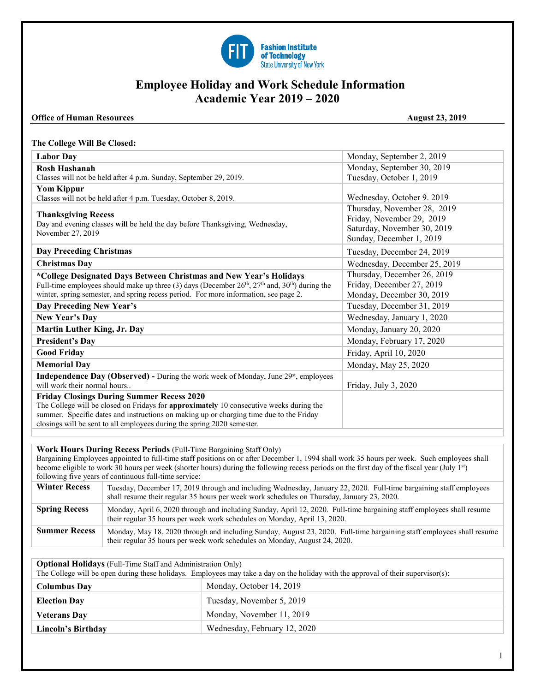

# **Employee Holiday and Work Schedule Information Academic Year 2019 – 2020**

### **Office of Human Resources** August 23, 2019

### **The College Will Be Closed:**

| <b>Labor Day</b>                                                                                           | Monday, September 2, 2019    |
|------------------------------------------------------------------------------------------------------------|------------------------------|
| <b>Rosh Hashanah</b>                                                                                       | Monday, September 30, 2019   |
| Classes will not be held after 4 p.m. Sunday, September 29, 2019.                                          | Tuesday, October 1, 2019     |
| <b>Yom Kippur</b>                                                                                          |                              |
| Classes will not be held after 4 p.m. Tuesday, October 8, 2019.                                            | Wednesday, October 9. 2019   |
|                                                                                                            | Thursday, November 28, 2019  |
| <b>Thanksgiving Recess</b><br>Day and evening classes will be held the day before Thanksgiving, Wednesday, | Friday, November 29, 2019    |
| November 27, 2019                                                                                          | Saturday, November 30, 2019  |
|                                                                                                            | Sunday, December 1, 2019     |
| <b>Day Preceding Christmas</b>                                                                             | Tuesday, December 24, 2019   |
| <b>Christmas Day</b>                                                                                       | Wednesday, December 25, 2019 |
| *College Designated Days Between Christmas and New Year's Holidays                                         | Thursday, December 26, 2019  |
| Full-time employees should make up three (3) days (December $26th$ , $27th$ and, $30th$ ) during the       | Friday, December 27, 2019    |
| winter, spring semester, and spring recess period. For more information, see page 2.                       | Monday, December 30, 2019    |
| Day Preceding New Year's                                                                                   | Tuesday, December 31, 2019   |
| New Year's Day                                                                                             | Wednesday, January 1, 2020   |
| <b>Martin Luther King, Jr. Day</b>                                                                         | Monday, January 20, 2020     |
| <b>President's Day</b>                                                                                     | Monday, February 17, 2020    |
| <b>Good Friday</b>                                                                                         | Friday, April 10, 2020       |
| <b>Memorial Day</b>                                                                                        | Monday, May 25, 2020         |
| <b>Independence Day (Observed)</b> - During the work week of Monday, June 29 <sup>st</sup> , employees     |                              |
| will work their normal hours                                                                               | Friday, July 3, 2020         |
| <b>Friday Closings During Summer Recess 2020</b>                                                           |                              |
| The College will be closed on Fridays for approximately 10 consecutive weeks during the                    |                              |
| summer. Specific dates and instructions on making up or charging time due to the Friday                    |                              |
| closings will be sent to all employees during the spring 2020 semester.                                    |                              |

### **Work Hours During Recess Periods** (Full-Time Bargaining Staff Only)

Bargaining Employees appointed to full-time staff positions on or after December 1, 1994 shall work 35 hours per week. Such employees shall become eligible to work 30 hours per week (shorter hours) during the following recess periods on the first day of the fiscal year (July 1<sup>st</sup>) following five years of continuous full-time service:

| <b>Winter Recess</b> | Tuesday, December 17, 2019 through and including Wednesday, January 22, 2020. Full-time bargaining staff employees<br>shall resume their regular 35 hours per week work schedules on Thursday, January 23, 2020. |
|----------------------|------------------------------------------------------------------------------------------------------------------------------------------------------------------------------------------------------------------|
| <b>Spring Recess</b> | Monday, April 6, 2020 through and including Sunday, April 12, 2020. Full-time bargaining staff employees shall resume<br>their regular 35 hours per week work schedules on Monday, April 13, 2020.               |
| <b>Summer Recess</b> | Monday, May 18, 2020 through and including Sunday, August 23, 2020. Full-time bargaining staff employees shall resume<br>their regular 35 hours per week work schedules on Monday, August 24, 2020.              |

**Optional Holidays** (Full-Time Staff and Administration Only)

The College will be open during these holidays. Employees may take a day on the holiday with the approval of their supervisor(s):

| <b>Columbus Day</b> | Monday, October 14, 2019     |
|---------------------|------------------------------|
| <b>Election Day</b> | Tuesday, November 5, 2019    |
| <b>Veterans Day</b> | Monday, November 11, 2019    |
| Lincoln's Birthday  | Wednesday, February 12, 2020 |